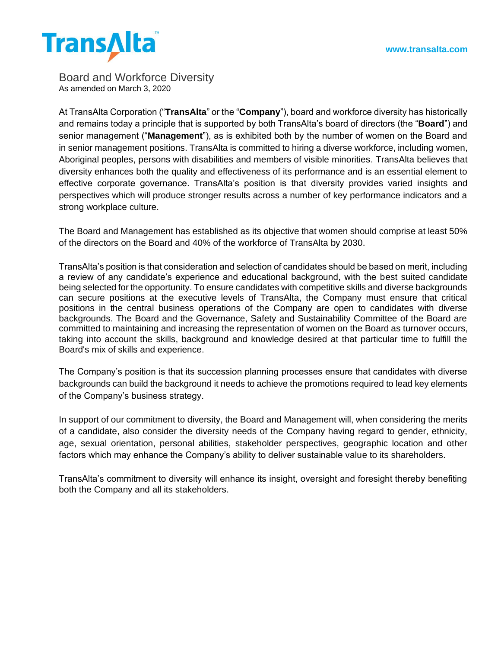

Board and Workforce Diversity As amended on March 3, 2020

At TransAlta Corporation ("**TransAlta**" or the "**Company**"), board and workforce diversity has historically and remains today a principle that is supported by both TransAlta's board of directors (the "**Board**") and senior management ("**Management**"), as is exhibited both by the number of women on the Board and in senior management positions. TransAlta is committed to hiring a diverse workforce, including women, Aboriginal peoples, persons with disabilities and members of visible minorities. TransAlta believes that diversity enhances both the quality and effectiveness of its performance and is an essential element to effective corporate governance. TransAlta's position is that diversity provides varied insights and perspectives which will produce stronger results across a number of key performance indicators and a strong workplace culture.

The Board and Management has established as its objective that women should comprise at least 50% of the directors on the Board and 40% of the workforce of TransAlta by 2030.

TransAlta's position is that consideration and selection of candidates should be based on merit, including a review of any candidate's experience and educational background, with the best suited candidate being selected for the opportunity. To ensure candidates with competitive skills and diverse backgrounds can secure positions at the executive levels of TransAlta, the Company must ensure that critical positions in the central business operations of the Company are open to candidates with diverse backgrounds. The Board and the Governance, Safety and Sustainability Committee of the Board are committed to maintaining and increasing the representation of women on the Board as turnover occurs, taking into account the skills, background and knowledge desired at that particular time to fulfill the Board's mix of skills and experience.

The Company's position is that its succession planning processes ensure that candidates with diverse backgrounds can build the background it needs to achieve the promotions required to lead key elements of the Company's business strategy.

In support of our commitment to diversity, the Board and Management will, when considering the merits of a candidate, also consider the diversity needs of the Company having regard to gender, ethnicity, age, sexual orientation, personal abilities, stakeholder perspectives, geographic location and other factors which may enhance the Company's ability to deliver sustainable value to its shareholders.

TransAlta's commitment to diversity will enhance its insight, oversight and foresight thereby benefiting both the Company and all its stakeholders.